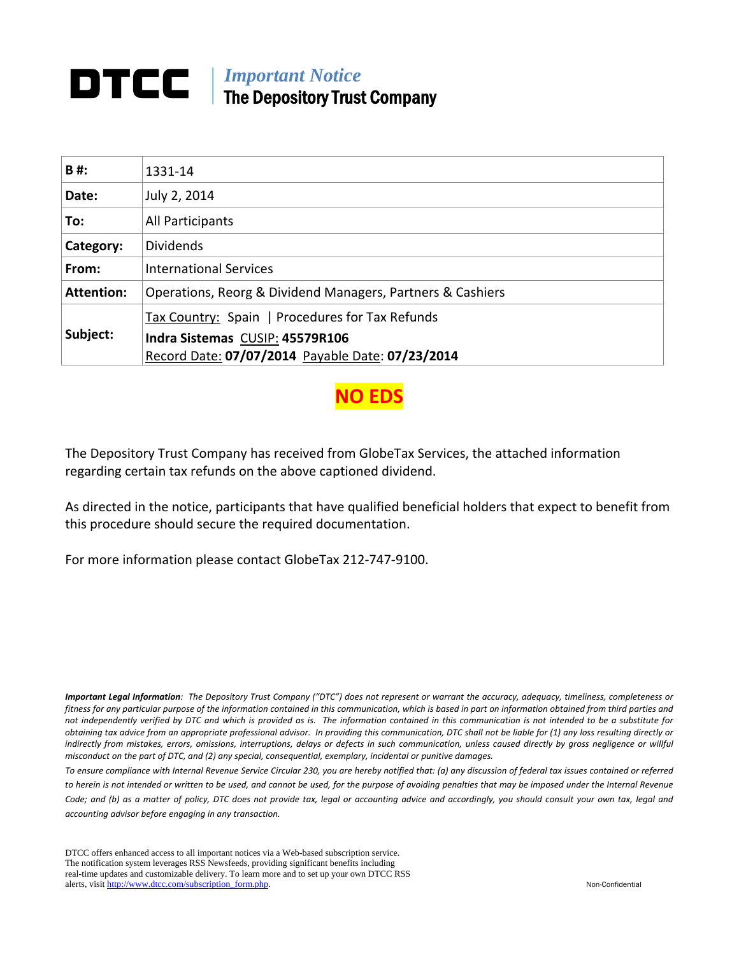## *Important Notice*  The Depository Trust Company

| B#:               | 1331-14                                                    |
|-------------------|------------------------------------------------------------|
| Date:             | July 2, 2014                                               |
| To:               | All Participants                                           |
| Category:         | <b>Dividends</b>                                           |
| From:             | <b>International Services</b>                              |
| <b>Attention:</b> | Operations, Reorg & Dividend Managers, Partners & Cashiers |
|                   | Tax Country: Spain   Procedures for Tax Refunds            |
| Subject:          | Indra Sistemas CUSIP: 45579R106                            |
|                   | Record Date: 07/07/2014 Payable Date: 07/23/2014           |

**NO ED**:

The Depository Trust Company has received from GlobeTax Services, the attached information regarding certain tax refunds on the above captioned dividend.

As directed in the notice, participants that have qualified beneficial holders that expect to benefit from this procedure should secure the required documentation.

For more information please contact GlobeTax 212‐747‐9100.

Important Legal Information: The Depository Trust Company ("DTC") does not represent or warrant the accuracy, adequacy, timeliness, completeness or fitness for any particular purpose of the information contained in this communication, which is based in part on information obtained from third parties and not independently verified by DTC and which is provided as is. The information contained in this communication is not intended to be a substitute for obtaining tax advice from an appropriate professional advisor. In providing this communication, DTC shall not be liable for (1) any loss resulting directly or indirectly from mistakes, errors, omissions, interruptions, delays or defects in such communication, unless caused directly by gross negligence or willful *misconduct on the part of DTC, and (2) any special, consequential, exemplary, incidental or punitive damages.*

To ensure compliance with Internal Revenue Service Circular 230, you are hereby notified that: (a) any discussion of federal tax issues contained or referred to herein is not intended or written to be used, and cannot be used, for the purpose of avoiding penalties that may be imposed under the Internal Revenue Code; and (b) as a matter of policy, DTC does not provide tax, legal or accounting advice and accordingly, you should consult your own tax, legal and *accounting advisor before engaging in any transaction.*

DTCC offers enhanced access to all important notices via a Web-based subscription service. The notification system leverages RSS Newsfeeds, providing significant benefits including real-time updates and customizable delivery. To learn more and to set up your own DTCC RSS alerts, visit http://www.dtcc.com/subscription\_form.php. Non-Confidential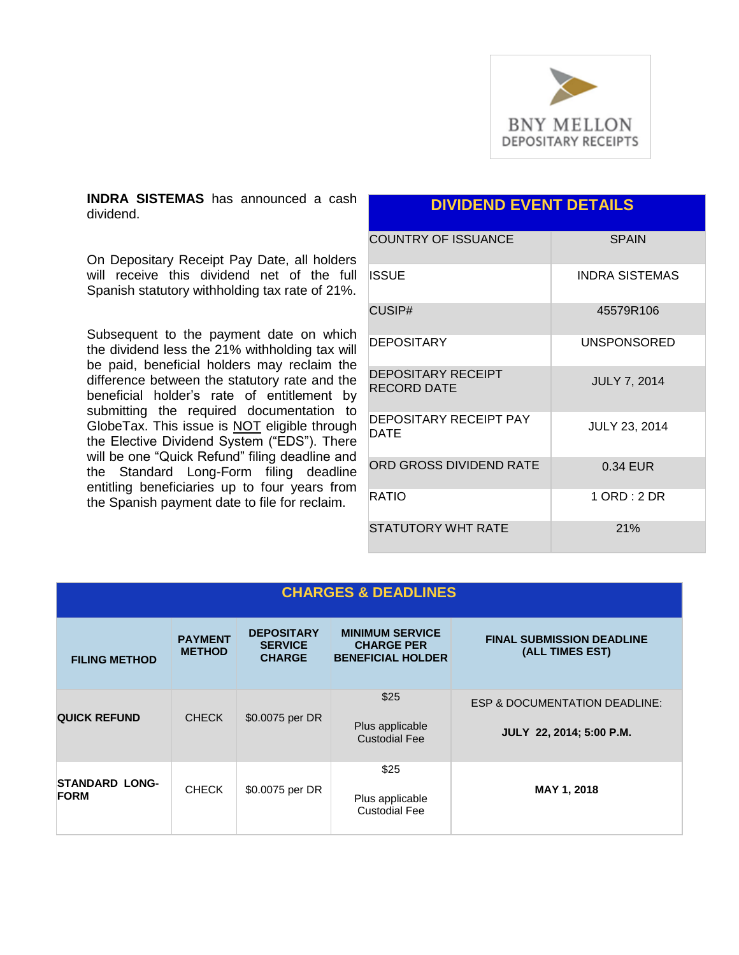

**INDRA SISTEMAS** has announced a cash dividend.

On Depositary Receipt Pay Date, all holders will receive this dividend net of the full Spanish statutory withholding tax rate of 21%.

Subsequent to the payment date on which the dividend less the 21% withholding tax will be paid, beneficial holders may reclaim the difference between the statutory rate and the beneficial holder's rate of entitlement by submitting the required documentation to GlobeTax. This issue is NOT eligible through the Elective Dividend System ("EDS"). There will be one "Quick Refund" filing deadline and the Standard Long-Form filing deadline entitling beneficiaries up to four years from the Spanish payment date to file for reclaim.

### **DIVIDEND EVENT DETAILS**

| <b>COUNTRY OF ISSUANCE</b>               | <b>SPAIN</b>          |
|------------------------------------------|-----------------------|
| <b>ISSUE</b>                             | <b>INDRA SISTEMAS</b> |
| CUSIP#                                   | 45579R106             |
| DEPOSITARY                               | UNSPONSORED           |
| <b>DEPOSITARY RECEIPT</b><br>RECORD DATE | <b>JULY 7, 2014</b>   |
| DEPOSITARY RECEIPT PAY<br>DATE           | <b>JULY 23, 2014</b>  |
| ORD GROSS DIVIDEND RATE                  | 0.34 EUR              |
| RATIO                                    | 1 ORD: 2 DR           |
| <b>STATUTORY WHT RATE</b>                | 21%                   |

| <b>CHARGES &amp; DEADLINES</b>       |                                 |                                                      |                                                                         |                                                                      |
|--------------------------------------|---------------------------------|------------------------------------------------------|-------------------------------------------------------------------------|----------------------------------------------------------------------|
| <b>FILING METHOD</b>                 | <b>PAYMENT</b><br><b>METHOD</b> | <b>DEPOSITARY</b><br><b>SERVICE</b><br><b>CHARGE</b> | <b>MINIMUM SERVICE</b><br><b>CHARGE PER</b><br><b>BENEFICIAL HOLDER</b> | <b>FINAL SUBMISSION DEADLINE</b><br>(ALL TIMES EST)                  |
| <b>QUICK REFUND</b>                  | <b>CHECK</b>                    | \$0.0075 per DR                                      | \$25<br>Plus applicable<br><b>Custodial Fee</b>                         | <b>ESP &amp; DOCUMENTATION DEADLINE:</b><br>JULY 22, 2014; 5:00 P.M. |
| <b>STANDARD LONG-</b><br><b>FORM</b> | <b>CHECK</b>                    | \$0.0075 per DR                                      | \$25<br>Plus applicable<br><b>Custodial Fee</b>                         | MAY 1, 2018                                                          |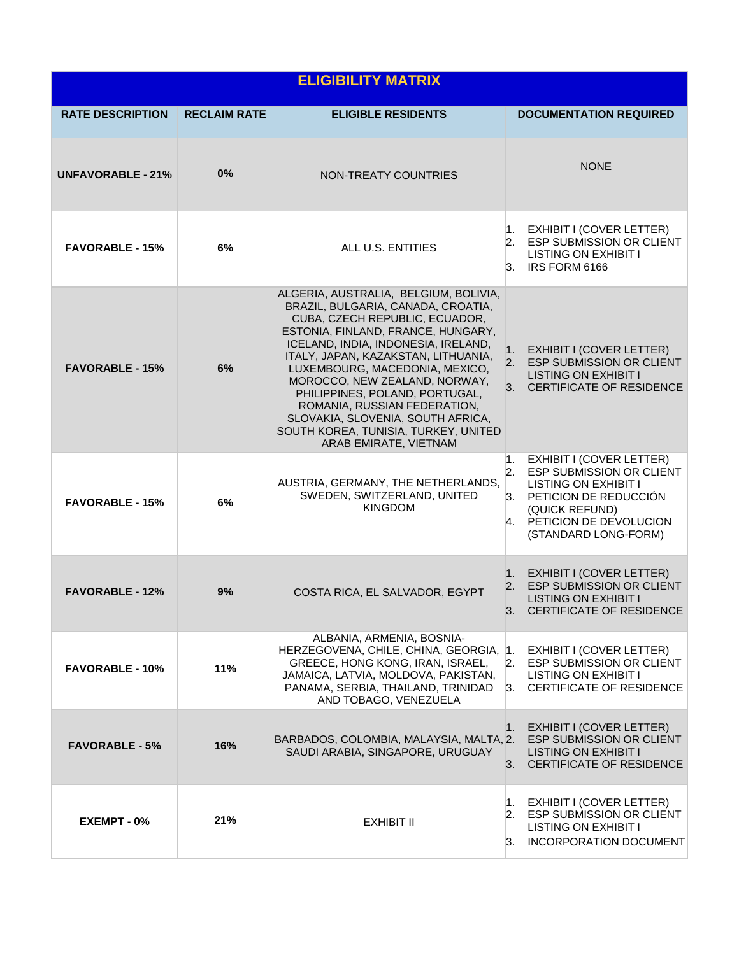| <b>ELIGIBILITY MATRIX</b> |                     |                                                                                                                                                                                                                                                                                                                                                                                                                                                                              |                                                                                                                                                                                                                                |  |  |
|---------------------------|---------------------|------------------------------------------------------------------------------------------------------------------------------------------------------------------------------------------------------------------------------------------------------------------------------------------------------------------------------------------------------------------------------------------------------------------------------------------------------------------------------|--------------------------------------------------------------------------------------------------------------------------------------------------------------------------------------------------------------------------------|--|--|
| <b>RATE DESCRIPTION</b>   | <b>RECLAIM RATE</b> | <b>ELIGIBLE RESIDENTS</b>                                                                                                                                                                                                                                                                                                                                                                                                                                                    | <b>DOCUMENTATION REQUIRED</b>                                                                                                                                                                                                  |  |  |
| <b>UNFAVORABLE - 21%</b>  | 0%                  | NON-TREATY COUNTRIES                                                                                                                                                                                                                                                                                                                                                                                                                                                         | <b>NONE</b>                                                                                                                                                                                                                    |  |  |
| <b>FAVORABLE - 15%</b>    | 6%                  | ALL U.S. ENTITIES                                                                                                                                                                                                                                                                                                                                                                                                                                                            | 1. EXHIBIT I (COVER LETTER)<br>2. ESP SUBMISSION OR CLIENT<br><b>LISTING ON EXHIBIT I</b><br>3. IRS FORM 6166                                                                                                                  |  |  |
| <b>FAVORABLE - 15%</b>    | 6%                  | ALGERIA, AUSTRALIA, BELGIUM, BOLIVIA,<br>BRAZIL, BULGARIA, CANADA, CROATIA,<br>CUBA, CZECH REPUBLIC, ECUADOR,<br>ESTONIA, FINLAND, FRANCE, HUNGARY,<br>ICELAND, INDIA, INDONESIA, IRELAND,<br>ITALY, JAPAN, KAZAKSTAN, LITHUANIA,<br>LUXEMBOURG, MACEDONIA, MEXICO,<br>MOROCCO, NEW ZEALAND, NORWAY,<br>PHILIPPINES, POLAND, PORTUGAL,<br>ROMANIA, RUSSIAN FEDERATION,<br>SLOVAKIA, SLOVENIA, SOUTH AFRICA,<br>SOUTH KOREA, TUNISIA, TURKEY, UNITED<br>ARAB EMIRATE, VIETNAM | EXHIBIT I (COVER LETTER)<br>1.<br><b>ESP SUBMISSION OR CLIENT</b><br>2.<br><b>LISTING ON EXHIBIT I</b><br>3. CERTIFICATE OF RESIDENCE                                                                                          |  |  |
| <b>FAVORABLE - 15%</b>    | 6%                  | AUSTRIA, GERMANY, THE NETHERLANDS,<br>SWEDEN, SWITZERLAND, UNITED<br><b>KINGDOM</b>                                                                                                                                                                                                                                                                                                                                                                                          | <b>EXHIBIT I (COVER LETTER)</b><br>1.<br>$\overline{2}$ .<br><b>ESP SUBMISSION OR CLIENT</b><br><b>LISTING ON EXHIBIT I</b><br>3. PETICION DE REDUCCIÓN<br>(QUICK REFUND)<br>4. PETICION DE DEVOLUCION<br>(STANDARD LONG-FORM) |  |  |
| <b>FAVORABLE - 12%</b>    | 9%                  | COSTA RICA, EL SALVADOR, EGYPT                                                                                                                                                                                                                                                                                                                                                                                                                                               | <b>EXHIBIT I (COVER LETTER)</b><br>1.<br><b>ESP SUBMISSION OR CLIENT</b><br>2.<br><b>LISTING ON EXHIBIT I</b><br>3. CERTIFICATE OF RESIDENCE                                                                                   |  |  |
| <b>FAVORABLE - 10%</b>    | 11%                 | ALBANIA, ARMENIA, BOSNIA-<br>HERZEGOVENA, CHILE, CHINA, GEORGIA,<br>GREECE, HONG KONG, IRAN, ISRAEL,<br>JAMAICA, LATVIA, MOLDOVA, PAKISTAN,<br>PANAMA, SERBIA, THAILAND, TRINIDAD<br>AND TOBAGO, VENEZUELA                                                                                                                                                                                                                                                                   | 1.<br>EXHIBIT I (COVER LETTER)<br>ESP SUBMISSION OR CLIENT<br>2.<br><b>LISTING ON EXHIBIT I</b><br>3. CERTIFICATE OF RESIDENCE                                                                                                 |  |  |
| <b>FAVORABLE - 5%</b>     | 16%                 | BARBADOS, COLOMBIA, MALAYSIA, MALTA, 2.<br>SAUDI ARABIA, SINGAPORE, URUGUAY                                                                                                                                                                                                                                                                                                                                                                                                  | EXHIBIT I (COVER LETTER)<br>1.<br><b>ESP SUBMISSION OR CLIENT</b><br><b>LISTING ON EXHIBIT I</b><br>3. CERTIFICATE OF RESIDENCE                                                                                                |  |  |
| EXEMPT - 0%               | 21%                 | EXHIBIT II                                                                                                                                                                                                                                                                                                                                                                                                                                                                   | EXHIBIT I (COVER LETTER)<br>1.<br><b>ESP SUBMISSION OR CLIENT</b><br>2.<br><b>LISTING ON EXHIBIT I</b><br><b>INCORPORATION DOCUMENT</b><br>3.                                                                                  |  |  |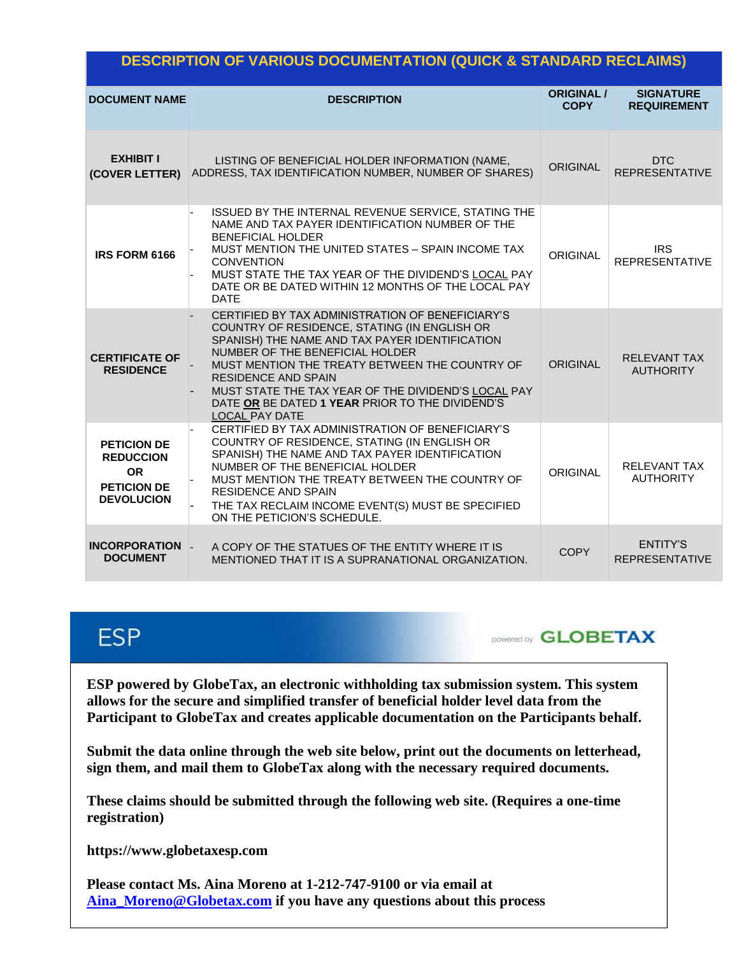### **DESCRIPTION OF VARIOUS DOCUMENTATION (QUICK & STANDARD RECLAIMS)**

| <b>DOCUMENT NAME</b>                                                                           | <b>DESCRIPTION</b>                                                                                                                                                                                                                                                                                                                                                                                       | <b>ORIGINAL /</b><br><b>COPY</b> | <b>SIGNATURE</b><br><b>REQUIREMENT</b>   |
|------------------------------------------------------------------------------------------------|----------------------------------------------------------------------------------------------------------------------------------------------------------------------------------------------------------------------------------------------------------------------------------------------------------------------------------------------------------------------------------------------------------|----------------------------------|------------------------------------------|
| <b>EXHIBIT I</b><br>(COVER LETTER)                                                             | LISTING OF BENEFICIAL HOLDER INFORMATION (NAME,<br>ADDRESS, TAX IDENTIFICATION NUMBER, NUMBER OF SHARES)                                                                                                                                                                                                                                                                                                 | <b>ORIGINAL</b>                  | <b>DTC</b><br><b>REPRESENTATIVE</b>      |
| IRS FORM 6166                                                                                  | ISSUED BY THE INTERNAL REVENUE SERVICE, STATING THE<br>NAME AND TAX PAYER IDENTIFICATION NUMBER OF THE<br><b>BENEFICIAL HOLDER</b><br>MUST MENTION THE UNITED STATES - SPAIN INCOME TAX<br><b>CONVENTION</b><br>MUST STATE THE TAX YEAR OF THE DIVIDEND'S LOCAL PAY<br>DATE OR BE DATED WITHIN 12 MONTHS OF THE LOCAL PAY<br><b>DATE</b>                                                                 | <b>ORIGINAL</b>                  | <b>IRS</b><br><b>REPRESENTATIVE</b>      |
| <b>CERTIFICATE OF</b><br><b>RESIDENCE</b>                                                      | CERTIFIED BY TAX ADMINISTRATION OF BENEFICIARY'S<br>COUNTRY OF RESIDENCE, STATING (IN ENGLISH OR<br>SPANISH) THE NAME AND TAX PAYER IDENTIFICATION<br>NUMBER OF THE BENEFICIAL HOLDER<br>MUST MENTION THE TREATY BETWEEN THE COUNTRY OF<br><b>RESIDENCE AND SPAIN</b><br>MUST STATE THE TAX YEAR OF THE DIVIDEND'S LOCAL PAY<br>DATE OR BE DATED 1 YEAR PRIOR TO THE DIVIDEND'S<br><b>LOCAL PAY DATE</b> | <b>ORIGINAL</b>                  | <b>RELEVANT TAX</b><br><b>AUTHORITY</b>  |
| <b>PETICION DE</b><br><b>REDUCCION</b><br><b>OR</b><br><b>PETICION DE</b><br><b>DEVOLUCION</b> | CERTIFIED BY TAX ADMINISTRATION OF BENEFICIARY'S<br>COUNTRY OF RESIDENCE, STATING (IN ENGLISH OR<br>SPANISH) THE NAME AND TAX PAYER IDENTIFICATION<br>NUMBER OF THE BENEFICIAL HOLDER<br>MUST MENTION THE TREATY BETWEEN THE COUNTRY OF<br><b>RESIDENCE AND SPAIN</b><br>THE TAX RECLAIM INCOME EVENT(S) MUST BE SPECIFIED<br>ON THE PETICION'S SCHEDULE.                                                | <b>ORIGINAL</b>                  | <b>RELEVANT TAX</b><br><b>AUTHORITY</b>  |
| <b>INCORPORATION</b><br><b>DOCUMENT</b>                                                        | A COPY OF THE STATUES OF THE ENTITY WHERE IT IS<br>MENTIONED THAT IT IS A SUPRANATIONAL ORGANIZATION.                                                                                                                                                                                                                                                                                                    | <b>COPY</b>                      | <b>ENTITY'S</b><br><b>REPRESENTATIVE</b> |

# **ESP**

**DOWERED GLOBETAX** 

**ESP powered by GlobeTax, an electronic withholding tax submission system. This system allows for the secure and simplified transfer of beneficial holder level data from the Participant to GlobeTax and creates applicable documentation on the Participants behalf.** 

**Submit the data online through the web site below, print out the documents on letterhead, sign them, and mail them to GlobeTax along with the necessary required documents.** 

**These claims should be submitted through the following web site. (Requires a one-time registration)** 

**https://www.globetaxesp.com** 

**Please contact Ms. Aina Moreno at 1-212-747-9100 or via email at [Aina\\_Moreno@Globetax.com](mailto:Aina_Moreno@Globetax.com) if you have any questions about this process**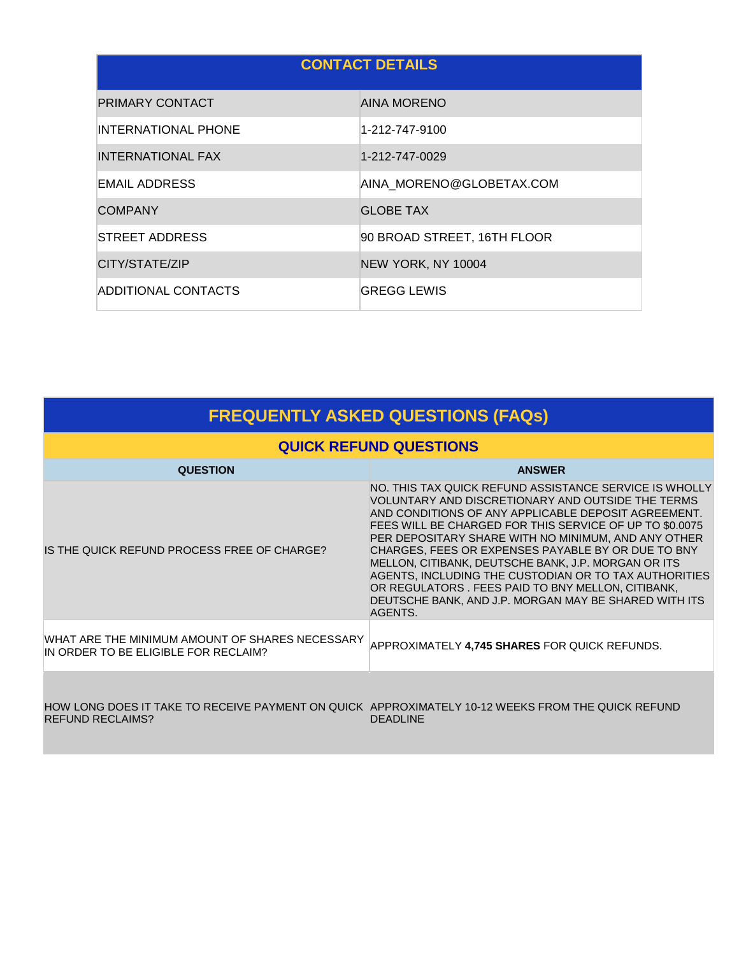| <b>CONTACT DETAILS</b>     |                             |  |  |
|----------------------------|-----------------------------|--|--|
| PRIMARY CONTACT            | <b>AINA MORENO</b>          |  |  |
| <b>INTERNATIONAL PHONE</b> | 1-212-747-9100              |  |  |
| INTERNATIONAL FAX          | 1-212-747-0029              |  |  |
| EMAIL ADDRESS              | AINA MORENO@GLOBETAX.COM    |  |  |
| <b>COMPANY</b>             | <b>GLOBE TAX</b>            |  |  |
| STREET ADDRESS             | 90 BROAD STREET, 16TH FLOOR |  |  |
| CITY/STATE/ZIP             | NEW YORK, NY 10004          |  |  |
| ADDITIONAL CONTACTS        | <b>GREGG LEWIS</b>          |  |  |

| <b>FREQUENTLY ASKED QUESTIONS (FAQs)</b>                                                                                     |                                                                                                                                                                                                                                                                                                                                                                                                                                                                                                                                                                                     |  |  |
|------------------------------------------------------------------------------------------------------------------------------|-------------------------------------------------------------------------------------------------------------------------------------------------------------------------------------------------------------------------------------------------------------------------------------------------------------------------------------------------------------------------------------------------------------------------------------------------------------------------------------------------------------------------------------------------------------------------------------|--|--|
| <b>QUICK REFUND QUESTIONS</b>                                                                                                |                                                                                                                                                                                                                                                                                                                                                                                                                                                                                                                                                                                     |  |  |
| <b>QUESTION</b>                                                                                                              | <b>ANSWER</b>                                                                                                                                                                                                                                                                                                                                                                                                                                                                                                                                                                       |  |  |
| IS THE QUICK REFUND PROCESS FREE OF CHARGE?                                                                                  | NO. THIS TAX QUICK REFUND ASSISTANCE SERVICE IS WHOLLY<br>VOLUNTARY AND DISCRETIONARY AND OUTSIDE THE TERMS<br>AND CONDITIONS OF ANY APPLICABLE DEPOSIT AGREEMENT.<br>FEES WILL BE CHARGED FOR THIS SERVICE OF UP TO \$0.0075<br>PER DEPOSITARY SHARE WITH NO MINIMUM, AND ANY OTHER<br>CHARGES, FEES OR EXPENSES PAYABLE BY OR DUE TO BNY<br>MELLON, CITIBANK, DEUTSCHE BANK, J.P. MORGAN OR ITS<br>AGENTS, INCLUDING THE CUSTODIAN OR TO TAX AUTHORITIES<br>OR REGULATORS. FEES PAID TO BNY MELLON, CITIBANK,<br>DEUTSCHE BANK, AND J.P. MORGAN MAY BE SHARED WITH ITS<br>AGENTS. |  |  |
| WHAT ARE THE MINIMUM AMOUNT OF SHARES NECESSARY<br>IN ORDER TO BE ELIGIBLE FOR RECLAIM?                                      | APPROXIMATELY 4,745 SHARES FOR QUICK REFUNDS.                                                                                                                                                                                                                                                                                                                                                                                                                                                                                                                                       |  |  |
| HOW LONG DOES IT TAKE TO RECEIVE PAYMENT ON QUICK APPROXIMATELY 10-12 WEEKS FROM THE QUICK REFUND<br><b>REFUND RECLAIMS?</b> | <b>DEADLINE</b>                                                                                                                                                                                                                                                                                                                                                                                                                                                                                                                                                                     |  |  |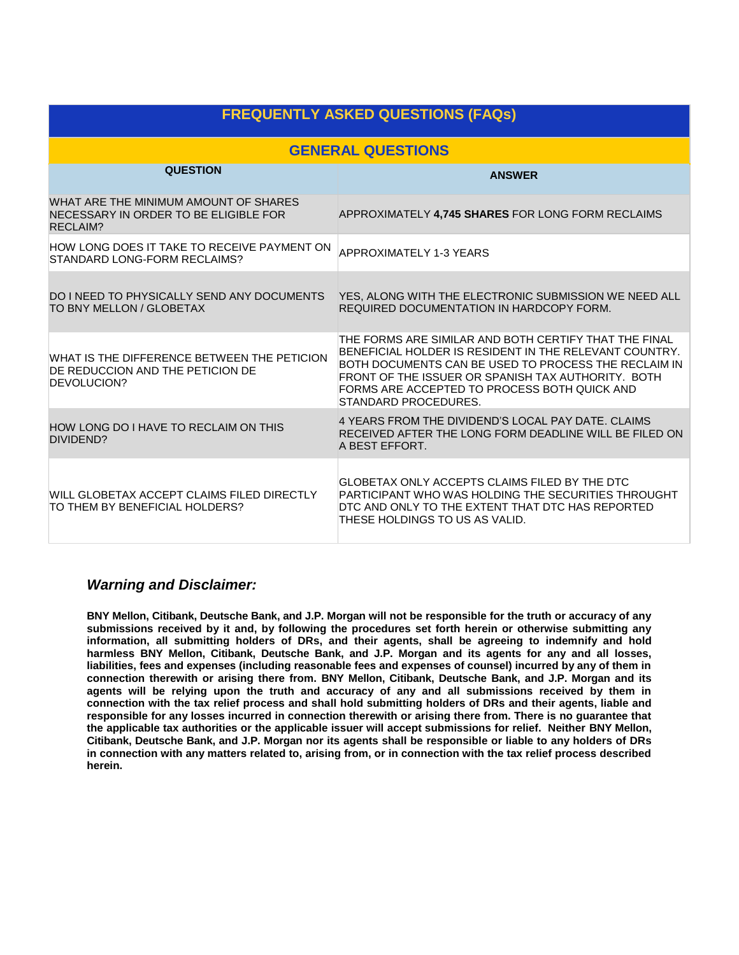| <b>FREQUENTLY ASKED QUESTIONS (FAQs)</b>                                                          |                                                                                                                                                                                                                                                                                                       |  |  |
|---------------------------------------------------------------------------------------------------|-------------------------------------------------------------------------------------------------------------------------------------------------------------------------------------------------------------------------------------------------------------------------------------------------------|--|--|
| <b>GENERAL QUESTIONS</b>                                                                          |                                                                                                                                                                                                                                                                                                       |  |  |
| <b>QUESTION</b>                                                                                   | <b>ANSWER</b>                                                                                                                                                                                                                                                                                         |  |  |
| WHAT ARE THE MINIMUM AMOUNT OF SHARES<br>NECESSARY IN ORDER TO BE ELIGIBLE FOR<br><b>RECLAIM?</b> | APPROXIMATELY 4,745 SHARES FOR LONG FORM RECLAIMS                                                                                                                                                                                                                                                     |  |  |
| HOW LONG DOES IT TAKE TO RECEIVE PAYMENT ON<br>STANDARD LONG-FORM RECLAIMS?                       | <b>APPROXIMATELY 1-3 YEARS</b>                                                                                                                                                                                                                                                                        |  |  |
| <b>DO I NEED TO PHYSICALLY SEND ANY DOCUMENTS</b><br>TO BNY MELLON / GLOBETAX                     | YES, ALONG WITH THE ELECTRONIC SUBMISSION WE NEED ALL<br>REQUIRED DOCUMENTATION IN HARDCOPY FORM.                                                                                                                                                                                                     |  |  |
| WHAT IS THE DIFFERENCE BETWEEN THE PETICION<br>DE REDUCCION AND THE PETICION DE<br>DEVOLUCION?    | THE FORMS ARE SIMILAR AND BOTH CERTIFY THAT THE FINAL<br>BENEFICIAL HOLDER IS RESIDENT IN THE RELEVANT COUNTRY.<br>BOTH DOCUMENTS CAN BE USED TO PROCESS THE RECLAIM IN<br>FRONT OF THE ISSUER OR SPANISH TAX AUTHORITY. BOTH<br>FORMS ARE ACCEPTED TO PROCESS BOTH QUICK AND<br>STANDARD PROCEDURES. |  |  |
| HOW LONG DO I HAVE TO RECLAIM ON THIS<br>DIVIDEND?                                                | 4 YEARS FROM THE DIVIDEND'S LOCAL PAY DATE. CLAIMS<br>RECEIVED AFTER THE LONG FORM DEADLINE WILL BE FILED ON<br>A BEST EFFORT.                                                                                                                                                                        |  |  |
| WILL GLOBETAX ACCEPT CLAIMS FILED DIRECTLY<br>TO THEM BY BENEFICIAL HOLDERS?                      | GLOBETAX ONLY ACCEPTS CLAIMS FILED BY THE DTC<br>PARTICIPANT WHO WAS HOLDING THE SECURITIES THROUGHT<br>DTC AND ONLY TO THE EXTENT THAT DTC HAS REPORTED<br>THESE HOLDINGS TO US AS VALID.                                                                                                            |  |  |

### *Warning and Disclaimer:*

**BNY Mellon, Citibank, Deutsche Bank, and J.P. Morgan will not be responsible for the truth or accuracy of any submissions received by it and, by following the procedures set forth herein or otherwise submitting any information, all submitting holders of DRs, and their agents, shall be agreeing to indemnify and hold harmless BNY Mellon, Citibank, Deutsche Bank, and J.P. Morgan and its agents for any and all losses, liabilities, fees and expenses (including reasonable fees and expenses of counsel) incurred by any of them in connection therewith or arising there from. BNY Mellon, Citibank, Deutsche Bank, and J.P. Morgan and its agents will be relying upon the truth and accuracy of any and all submissions received by them in connection with the tax relief process and shall hold submitting holders of DRs and their agents, liable and responsible for any losses incurred in connection therewith or arising there from. There is no guarantee that the applicable tax authorities or the applicable issuer will accept submissions for relief. Neither BNY Mellon, Citibank, Deutsche Bank, and J.P. Morgan nor its agents shall be responsible or liable to any holders of DRs in connection with any matters related to, arising from, or in connection with the tax relief process described herein.**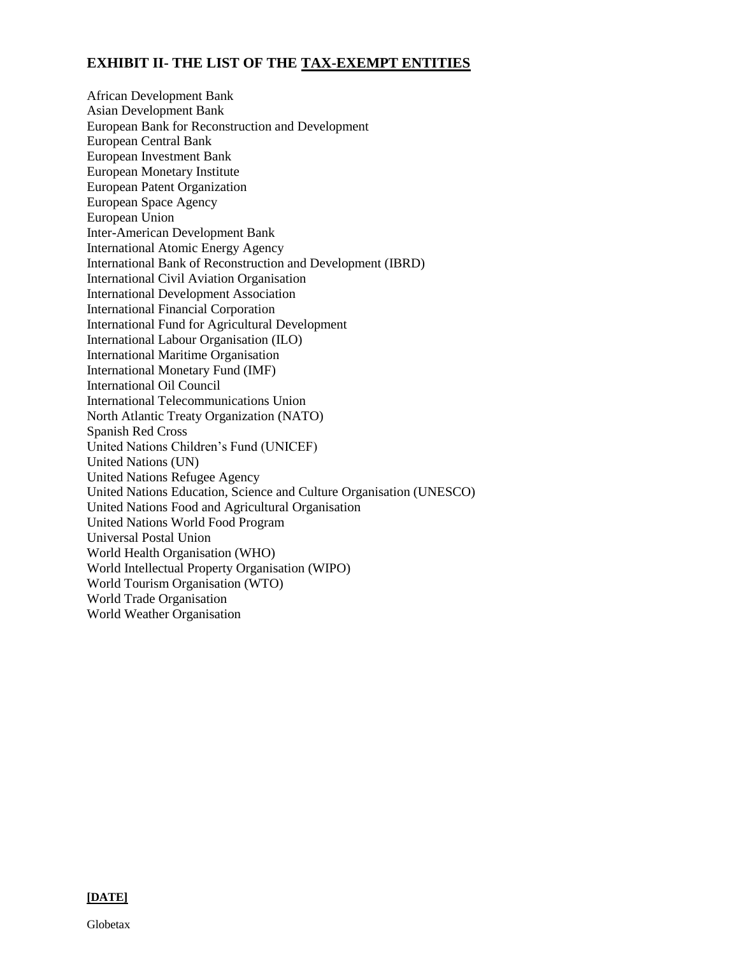#### **EXHIBIT II- THE LIST OF THE TAX-EXEMPT ENTITIES**

African Development Bank Asian Development Bank European Bank for Reconstruction and Development European Central Bank European Investment Bank European Monetary Institute European Patent Organization European Space Agency European Union Inter-American Development Bank International Atomic Energy Agency International Bank of Reconstruction and Development (IBRD) International Civil Aviation Organisation International Development Association International Financial Corporation International Fund for Agricultural Development International Labour Organisation (ILO) International Maritime Organisation International Monetary Fund (IMF) International Oil Council International Telecommunications Union North Atlantic Treaty Organization (NATO) Spanish Red Cross United Nations Children's Fund (UNICEF) United Nations (UN) United Nations Refugee Agency United Nations Education, Science and Culture Organisation (UNESCO) United Nations Food and Agricultural Organisation United Nations World Food Program Universal Postal Union World Health Organisation (WHO) World Intellectual Property Organisation (WIPO) World Tourism Organisation (WTO) World Trade Organisation World Weather Organisation

**[DATE]**

Globetax